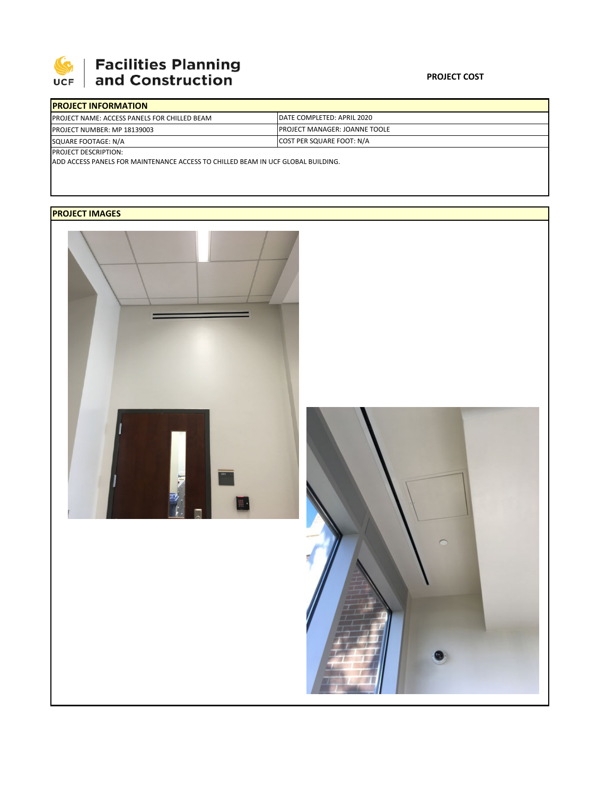

## | Facilities Planning<br>| and Construction

| <b>IPROJECT INFORMATION</b>                          |                                       |  |  |  |
|------------------------------------------------------|---------------------------------------|--|--|--|
| <b>IPROJECT NAME: ACCESS PANELS FOR CHILLED BEAM</b> | DATE COMPLETED: APRIL 2020            |  |  |  |
| <b>PROJECT NUMBER: MP 18139003</b>                   | <b>IPROJECT MANAGER: JOANNE TOOLE</b> |  |  |  |
| SQUARE FOOTAGE: N/A                                  | <b>COST PER SQUARE FOOT: N/A</b>      |  |  |  |
| <b>PROJECT DESCRIPTION:</b>                          |                                       |  |  |  |

ADD ACCESS PANELS FOR MAINTENANCE ACCESS TO CHILLED BEAM IN UCF GLOBAL BUILDING.

## **PROJECT IMAGES**